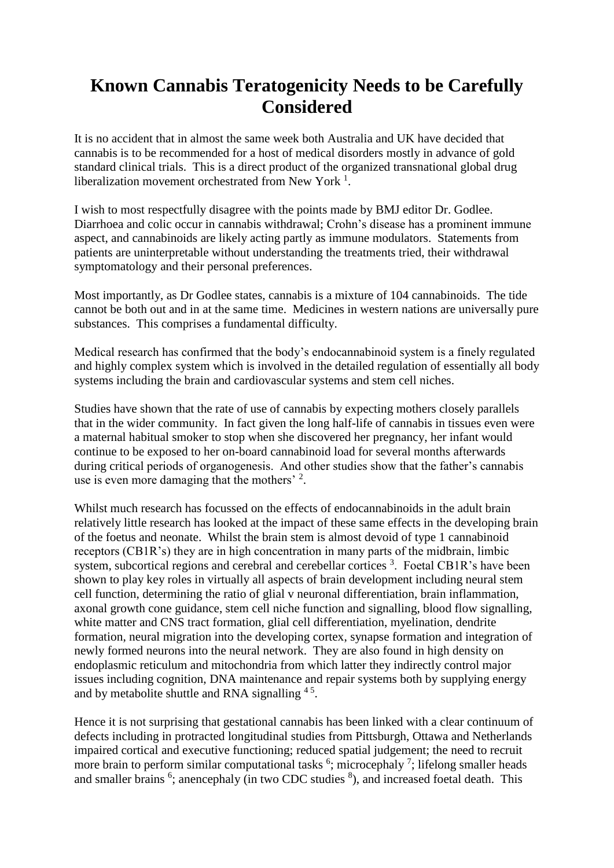## **Known Cannabis Teratogenicity Needs to be Carefully Considered**

It is no accident that in almost the same week both Australia and UK have decided that cannabis is to be recommended for a host of medical disorders mostly in advance of gold standard clinical trials. This is a direct product of the organized transnational global drug liberalization movement orchestrated from New York<sup>1</sup>.

I wish to most respectfully disagree with the points made by BMJ editor Dr. Godlee. Diarrhoea and colic occur in cannabis withdrawal; Crohn's disease has a prominent immune aspect, and cannabinoids are likely acting partly as immune modulators. Statements from patients are uninterpretable without understanding the treatments tried, their withdrawal symptomatology and their personal preferences.

Most importantly, as Dr Godlee states, cannabis is a mixture of 104 cannabinoids. The tide cannot be both out and in at the same time. Medicines in western nations are universally pure substances. This comprises a fundamental difficulty.

Medical research has confirmed that the body's endocannabinoid system is a finely regulated and highly complex system which is involved in the detailed regulation of essentially all body systems including the brain and cardiovascular systems and stem cell niches.

Studies have shown that the rate of use of cannabis by expecting mothers closely parallels that in the wider community. In fact given the long half-life of cannabis in tissues even were a maternal habitual smoker to stop when she discovered her pregnancy, her infant would continue to be exposed to her on-board cannabinoid load for several months afterwards during critical periods of organogenesis. And other studies show that the father's cannabis use is even more damaging that the mothers'  $2$ .

Whilst much research has focussed on the effects of endocannabinoids in the adult brain relatively little research has looked at the impact of these same effects in the developing brain of the foetus and neonate. Whilst the brain stem is almost devoid of type 1 cannabinoid receptors (CB1R's) they are in high concentration in many parts of the midbrain, limbic system, subcortical regions and cerebral and cerebellar cortices<sup>3</sup>. Foetal CB1R's have been shown to play key roles in virtually all aspects of brain development including neural stem cell function, determining the ratio of glial v neuronal differentiation, brain inflammation, axonal growth cone guidance, stem cell niche function and signalling, blood flow signalling, white matter and CNS tract formation, glial cell differentiation, myelination, dendrite formation, neural migration into the developing cortex, synapse formation and integration of newly formed neurons into the neural network. They are also found in high density on endoplasmic reticulum and mitochondria from which latter they indirectly control major issues including cognition, DNA maintenance and repair systems both by supplying energy and by metabolite shuttle and RNA signalling  $45$ .

Hence it is not surprising that gestational cannabis has been linked with a clear continuum of defects including in protracted longitudinal studies from Pittsburgh, Ottawa and Netherlands impaired cortical and executive functioning; reduced spatial judgement; the need to recruit more brain to perform similar computational tasks  $6$ ; microcephaly  $7$ ; lifelong smaller heads and smaller brains <sup>6</sup>; anencephaly (in two CDC studies <sup>8</sup>), and increased foetal death. This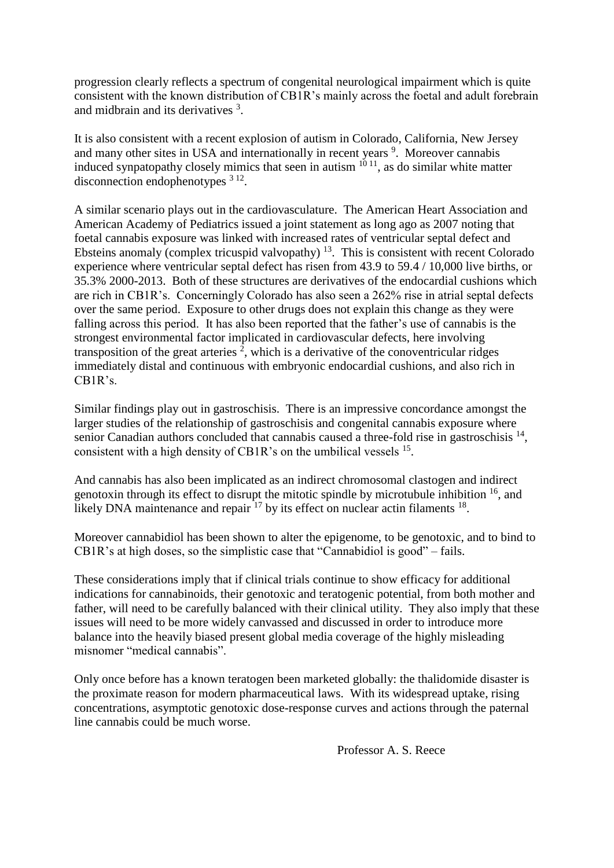progression clearly reflects a spectrum of congenital neurological impairment which is quite consistent with the known distribution of CB1R's mainly across the foetal and adult forebrain and midbrain and its derivatives<sup>3</sup>.

It is also consistent with a recent explosion of autism in Colorado, California, New Jersey and many other sites in USA and internationally in recent years <sup>9</sup>. Moreover cannabis induced synpatopathy closely mimics that seen in autism 10 11, as do similar white matter disconnection endophenotypes  $312$ .

A similar scenario plays out in the cardiovasculature. The American Heart Association and American Academy of Pediatrics issued a joint statement as long ago as 2007 noting that foetal cannabis exposure was linked with increased rates of ventricular septal defect and Ebsteins anomaly (complex tricuspid valvopathy)  $13$ . This is consistent with recent Colorado experience where ventricular septal defect has risen from 43.9 to 59.4 / 10,000 live births, or 35.3% 2000-2013. Both of these structures are derivatives of the endocardial cushions which are rich in CB1R's. Concerningly Colorado has also seen a 262% rise in atrial septal defects over the same period. Exposure to other drugs does not explain this change as they were falling across this period. It has also been reported that the father's use of cannabis is the strongest environmental factor implicated in cardiovascular defects, here involving transposition of the great arteries  $2$ , which is a derivative of the conoventricular ridges immediately distal and continuous with embryonic endocardial cushions, and also rich in CB1R's.

Similar findings play out in gastroschisis. There is an impressive concordance amongst the larger studies of the relationship of gastroschisis and congenital cannabis exposure where senior Canadian authors concluded that cannabis caused a three-fold rise in gastroschisis  $14$ , consistent with a high density of CB1R's on the umbilical vessels <sup>15</sup>.

And cannabis has also been implicated as an indirect chromosomal clastogen and indirect genotoxin through its effect to disrupt the mitotic spindle by microtubule inhibition  $16$ , and likely DNA maintenance and repair  $17$  by its effect on nuclear actin filaments  $18$ .

Moreover cannabidiol has been shown to alter the epigenome, to be genotoxic, and to bind to CB1R's at high doses, so the simplistic case that "Cannabidiol is good" – fails.

These considerations imply that if clinical trials continue to show efficacy for additional indications for cannabinoids, their genotoxic and teratogenic potential, from both mother and father, will need to be carefully balanced with their clinical utility. They also imply that these issues will need to be more widely canvassed and discussed in order to introduce more balance into the heavily biased present global media coverage of the highly misleading misnomer "medical cannabis".

Only once before has a known teratogen been marketed globally: the thalidomide disaster is the proximate reason for modern pharmaceutical laws. With its widespread uptake, rising concentrations, asymptotic genotoxic dose-response curves and actions through the paternal line cannabis could be much worse.

Professor A. S. Reece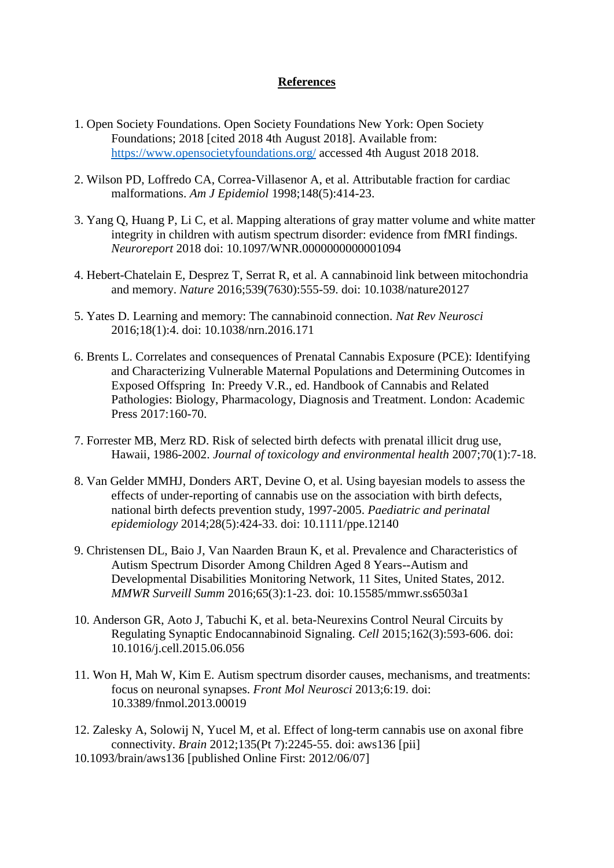## **References**

- 1. Open Society Foundations. Open Society Foundations New York: Open Society Foundations; 2018 [cited 2018 4th August 2018]. Available from: <https://www.opensocietyfoundations.org/> accessed 4th August 2018 2018.
- 2. Wilson PD, Loffredo CA, Correa-Villasenor A, et al. Attributable fraction for cardiac malformations. *Am J Epidemiol* 1998;148(5):414-23.
- 3. Yang Q, Huang P, Li C, et al. Mapping alterations of gray matter volume and white matter integrity in children with autism spectrum disorder: evidence from fMRI findings. *Neuroreport* 2018 doi: 10.1097/WNR.0000000000001094
- 4. Hebert-Chatelain E, Desprez T, Serrat R, et al. A cannabinoid link between mitochondria and memory. *Nature* 2016;539(7630):555-59. doi: 10.1038/nature20127
- 5. Yates D. Learning and memory: The cannabinoid connection. *Nat Rev Neurosci* 2016;18(1):4. doi: 10.1038/nrn.2016.171
- 6. Brents L. Correlates and consequences of Prenatal Cannabis Exposure (PCE): Identifying and Characterizing Vulnerable Maternal Populations and Determining Outcomes in Exposed Offspring In: Preedy V.R., ed. Handbook of Cannabis and Related Pathologies: Biology, Pharmacology, Diagnosis and Treatment. London: Academic Press 2017:160-70.
- 7. Forrester MB, Merz RD. Risk of selected birth defects with prenatal illicit drug use, Hawaii, 1986-2002. *Journal of toxicology and environmental health* 2007;70(1):7-18.
- 8. Van Gelder MMHJ, Donders ART, Devine O, et al. Using bayesian models to assess the effects of under-reporting of cannabis use on the association with birth defects, national birth defects prevention study, 1997-2005. *Paediatric and perinatal epidemiology* 2014;28(5):424-33. doi: 10.1111/ppe.12140
- 9. Christensen DL, Baio J, Van Naarden Braun K, et al. Prevalence and Characteristics of Autism Spectrum Disorder Among Children Aged 8 Years--Autism and Developmental Disabilities Monitoring Network, 11 Sites, United States, 2012. *MMWR Surveill Summ* 2016;65(3):1-23. doi: 10.15585/mmwr.ss6503a1
- 10. Anderson GR, Aoto J, Tabuchi K, et al. beta-Neurexins Control Neural Circuits by Regulating Synaptic Endocannabinoid Signaling. *Cell* 2015;162(3):593-606. doi: 10.1016/j.cell.2015.06.056
- 11. Won H, Mah W, Kim E. Autism spectrum disorder causes, mechanisms, and treatments: focus on neuronal synapses. *Front Mol Neurosci* 2013;6:19. doi: 10.3389/fnmol.2013.00019
- 12. Zalesky A, Solowij N, Yucel M, et al. Effect of long-term cannabis use on axonal fibre connectivity. *Brain* 2012;135(Pt 7):2245-55. doi: aws136 [pii]
- 10.1093/brain/aws136 [published Online First: 2012/06/07]